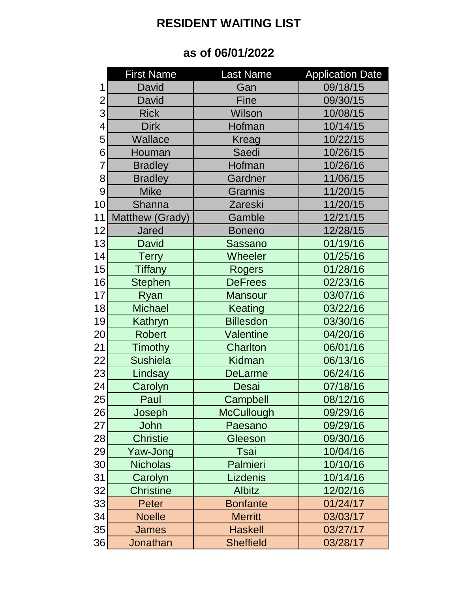|                | <b>First Name</b> | <b>Last Name</b>  | <b>Application Date</b> |
|----------------|-------------------|-------------------|-------------------------|
| 1              | David             | Gan               | 09/18/15                |
| $\overline{2}$ | David             | <b>Fine</b>       | 09/30/15                |
| 3              | <b>Rick</b>       | Wilson            | 10/08/15                |
| $\overline{4}$ | <b>Dirk</b>       | Hofman            | 10/14/15                |
| 5              | <b>Wallace</b>    | Kreag             | 10/22/15                |
| 6              | Houman            | Saedi             | 10/26/15                |
| $\overline{7}$ | <b>Bradley</b>    | Hofman            | 10/26/16                |
| 8              | <b>Bradley</b>    | Gardner           | 11/06/15                |
| 9              | <b>Mike</b>       | Grannis           | 11/20/15                |
| 10             | Shanna            | Zareski           | 11/20/15                |
| 11             | Matthew (Grady)   | Gamble            | 12/21/15                |
| 12             | <b>Jared</b>      | <b>Boneno</b>     | 12/28/15                |
| 13             | David             | Sassano           | 01/19/16                |
| 14             | <b>Terry</b>      | <b>Wheeler</b>    | 01/25/16                |
| 15             | <b>Tiffany</b>    | Rogers            | 01/28/16                |
| 16             | <b>Stephen</b>    | <b>DeFrees</b>    | 02/23/16                |
| 17             | Ryan              | <b>Mansour</b>    | 03/07/16                |
| 18             | <b>Michael</b>    | Keating           | 03/22/16                |
| 19             | Kathryn           | <b>Billesdon</b>  | 03/30/16                |
| 20             | <b>Robert</b>     | <b>Valentine</b>  | 04/20/16                |
| 21             | Timothy           | Charlton          | 06/01/16                |
| 22             | <b>Sushiela</b>   | Kidman            | 06/13/16                |
| 23             | Lindsay           | <b>DeLarme</b>    | 06/24/16                |
| 24             | Carolyn           | Desai             | 07/18/16                |
| 25             | Paul              | Campbell          | 08/12/16                |
| 26             | Joseph            | <b>McCullough</b> | 09/29/16                |
| 27             | John              | Paesano           | 09/29/16                |
| 28             | <b>Christie</b>   | Gleeson           | 09/30/16                |
| 29             | Yaw-Jong          | Tsai              | 10/04/16                |
| 30             | <b>Nicholas</b>   | Palmieri          | 10/10/16                |
| 31             | Carolyn           | <b>Lizdenis</b>   | 10/14/16                |
| 32             | <b>Christine</b>  | <b>Albitz</b>     | 12/02/16                |
| 33             | Peter             | <b>Bonfante</b>   | 01/24/17                |
| 34             | <b>Noelle</b>     | <b>Merritt</b>    | 03/03/17                |
| 35             | <b>James</b>      | <b>Haskell</b>    | 03/27/17                |
| 36             | Jonathan          | <b>Sheffield</b>  | 03/28/17                |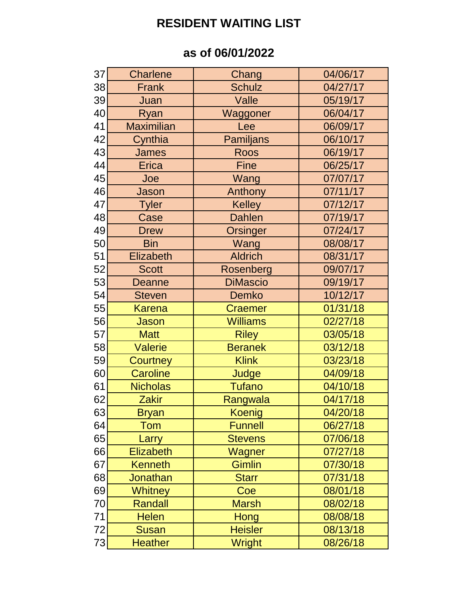| 37 | <b>Charlene</b>   | Chang            | 04/06/17 |
|----|-------------------|------------------|----------|
| 38 | Frank             | <b>Schulz</b>    | 04/27/17 |
| 39 | Juan              | Valle            | 05/19/17 |
| 40 | Ryan              | Waggoner         | 06/04/17 |
| 41 | <b>Maximilian</b> | Lee              | 06/09/17 |
| 42 | Cynthia           | <b>Pamiljans</b> | 06/10/17 |
| 43 | <b>James</b>      | Roos             | 06/19/17 |
| 44 | <b>Erica</b>      | <b>Fine</b>      | 06/25/17 |
| 45 | Joe               | Wang             | 07/07/17 |
| 46 | Jason             | Anthony          | 07/11/17 |
| 47 | <b>Tyler</b>      | <b>Kelley</b>    | 07/12/17 |
| 48 | Case              | <b>Dahlen</b>    | 07/19/17 |
| 49 | <b>Drew</b>       | Orsinger         | 07/24/17 |
| 50 | <b>Bin</b>        | Wang             | 08/08/17 |
| 51 | Elizabeth         | <b>Aldrich</b>   | 08/31/17 |
| 52 | <b>Scott</b>      | Rosenberg        | 09/07/17 |
| 53 | Deanne            | <b>DiMascio</b>  | 09/19/17 |
| 54 | <b>Steven</b>     | Demko            | 10/12/17 |
| 55 | <b>Karena</b>     | <b>Craemer</b>   | 01/31/18 |
| 56 | Jason             | <b>Williams</b>  | 02/27/18 |
| 57 | <b>Matt</b>       | <b>Riley</b>     | 03/05/18 |
| 58 | <b>Valerie</b>    | <b>Beranek</b>   | 03/12/18 |
| 59 | Courtney          | <b>Klink</b>     | 03/23/18 |
| 60 | <b>Caroline</b>   | Judge            | 04/09/18 |
| 61 | <b>Nicholas</b>   | <b>Tufano</b>    | 04/10/18 |
| 62 | Zakir             | <u>Rangwala</u>  | 04/17/18 |
| 63 | <b>Bryan</b>      | Koenig           | 04/20/18 |
| 64 | Tom               | <b>Funnell</b>   | 06/27/18 |
| 65 | Larry             | <b>Stevens</b>   | 07/06/18 |
| 66 | <b>Elizabeth</b>  | Wagner           | 07/27/18 |
| 67 | <b>Kenneth</b>    | <b>Gimlin</b>    | 07/30/18 |
| 68 | <b>Jonathan</b>   | <b>Starr</b>     | 07/31/18 |
| 69 | <b>Whitney</b>    | Coe              | 08/01/18 |
| 70 | Randall           | <b>Marsh</b>     | 08/02/18 |
| 71 | <b>Helen</b>      | Hong             | 08/08/18 |
| 72 | Susan             | <b>Heisler</b>   | 08/13/18 |
| 73 | <b>Heather</b>    | <b>Wright</b>    | 08/26/18 |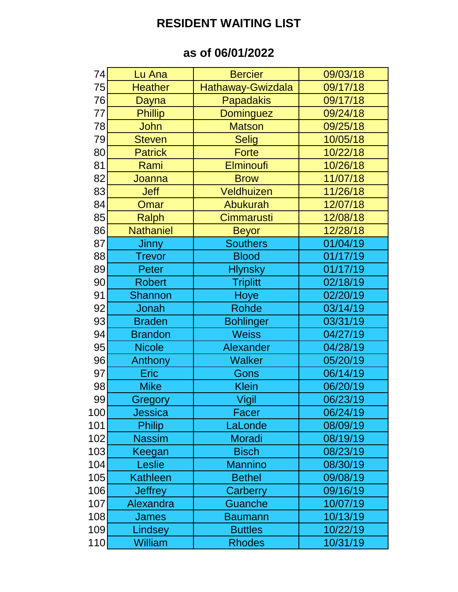| 74  | Lu Ana           | <b>Bercier</b>    | 09/03/18 |
|-----|------------------|-------------------|----------|
| 75  | <b>Heather</b>   | Hathaway-Gwizdala | 09/17/18 |
| 76  | Dayna            | <b>Papadakis</b>  | 09/17/18 |
| 77  | <b>Phillip</b>   | Dominguez         | 09/24/18 |
| 78  | John             | <b>Matson</b>     | 09/25/18 |
| 79  | <b>Steven</b>    | <b>Selig</b>      | 10/05/18 |
| 80  | <b>Patrick</b>   | <b>Forte</b>      | 10/22/18 |
| 81  | Rami             | Elminoufi         | 10/26/18 |
| 82  | Joanna           | <b>Brow</b>       | 11/07/18 |
| 83  | <b>Jeff</b>      | Veldhuizen        | 11/26/18 |
| 84  | Omar             | <b>Abukurah</b>   | 12/07/18 |
| 85  | <b>Ralph</b>     | Cimmarusti        | 12/08/18 |
| 86  | <b>Nathaniel</b> | <b>Beyor</b>      | 12/28/18 |
| 87  | <b>Jinny</b>     | <b>Southers</b>   | 01/04/19 |
| 88  | <b>Trevor</b>    | <b>Blood</b>      | 01/17/19 |
| 89  | Peter            | <b>Hlynsky</b>    | 01/17/19 |
| 90  | <b>Robert</b>    | <b>Triplitt</b>   | 02/18/19 |
| 91  | <b>Shannon</b>   | <b>Hoye</b>       | 02/20/19 |
| 92  | Jonah            | Rohde             | 03/14/19 |
| 93  | <b>Braden</b>    | <b>Bohlinger</b>  | 03/31/19 |
| 94  | <b>Brandon</b>   | <b>Weiss</b>      | 04/27/19 |
| 95  | <b>Nicole</b>    | Alexander         | 04/28/19 |
| 96  | Anthony          | <b>Walker</b>     | 05/20/19 |
| 97  | <b>Eric</b>      | Gons              | 06/14/19 |
| 98  | <b>Mike</b>      | <b>Klein</b>      | 06/20/19 |
| 99  | Gregory          | <b>Vigil</b>      | 06/23/19 |
| 100 | Jessica          | Facer             | 06/24/19 |
| 101 | <b>Philip</b>    | LaLonde           | 08/09/19 |
| 102 | <b>Nassim</b>    | Moradi            | 08/19/19 |
| 103 | Keegan           | <b>Bisch</b>      | 08/23/19 |
| 104 | Leslie           | <b>Mannino</b>    | 08/30/19 |
| 105 | <b>Kathleen</b>  | <b>Bethel</b>     | 09/08/19 |
| 106 | <b>Jeffrey</b>   | Carberry          | 09/16/19 |
| 107 | Alexandra        | <b>Guanche</b>    | 10/07/19 |
| 108 | <b>James</b>     | <b>Baumann</b>    | 10/13/19 |
| 109 | Lindsey          | <b>Buttles</b>    | 10/22/19 |
| 110 | William          | <b>Rhodes</b>     | 10/31/19 |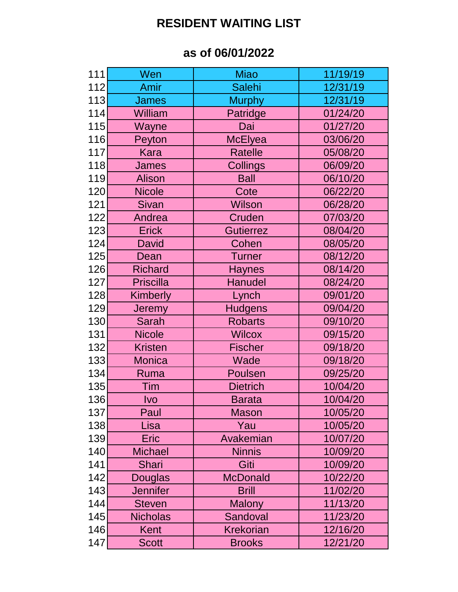| 111 | Wen              | <b>Miao</b>      | 11/19/19 |
|-----|------------------|------------------|----------|
| 112 | Amir             | <b>Salehi</b>    | 12/31/19 |
| 113 | <b>James</b>     | <b>Murphy</b>    | 12/31/19 |
| 114 | <b>William</b>   | Patridge         | 01/24/20 |
| 115 | Wayne            | Dai              | 01/27/20 |
| 116 | Peyton           | <b>McElyea</b>   | 03/06/20 |
| 117 | Kara             | <b>Ratelle</b>   | 05/08/20 |
| 118 | <b>James</b>     | Collings         | 06/09/20 |
| 119 | Alison           | <b>Ball</b>      | 06/10/20 |
| 120 | <b>Nicole</b>    | Cote             | 06/22/20 |
| 121 | <b>Sivan</b>     | <b>Wilson</b>    | 06/28/20 |
| 122 | Andrea           | Cruden           | 07/03/20 |
| 123 | <b>Erick</b>     | <b>Gutierrez</b> | 08/04/20 |
| 124 | <b>David</b>     | Cohen            | 08/05/20 |
| 125 | Dean             | <b>Turner</b>    | 08/12/20 |
| 126 | <b>Richard</b>   | Haynes           | 08/14/20 |
| 127 | <b>Priscilla</b> | Hanudel          | 08/24/20 |
| 128 | Kimberly         | Lynch            | 09/01/20 |
| 129 | <b>Jeremy</b>    | <b>Hudgens</b>   | 09/04/20 |
| 130 | Sarah            | <b>Robarts</b>   | 09/10/20 |
| 131 | <b>Nicole</b>    | <b>Wilcox</b>    | 09/15/20 |
| 132 | Kristen          | <b>Fischer</b>   | 09/18/20 |
| 133 | <b>Monica</b>    | Wade             | 09/18/20 |
| 134 | Ruma             | Poulsen          | 09/25/20 |
| 135 | Tim              | <b>Dietrich</b>  | 10/04/20 |
| 136 | Ivo              | Barata           | 10/04/20 |
| 137 | Paul             | <b>Mason</b>     | 10/05/20 |
| 138 | Lisa             | Yau              | 10/05/20 |
| 139 | <b>Eric</b>      | Avakemian        | 10/07/20 |
| 140 | <b>Michael</b>   | <b>Ninnis</b>    | 10/09/20 |
| 141 | <b>Shari</b>     | Giti             | 10/09/20 |
| 142 | <b>Douglas</b>   | <b>McDonald</b>  | 10/22/20 |
| 143 | <b>Jennifer</b>  | <b>Brill</b>     | 11/02/20 |
| 144 | <b>Steven</b>    | <b>Malony</b>    | 11/13/20 |
| 145 | <b>Nicholas</b>  | Sandoval         | 11/23/20 |
| 146 | Kent             | <b>Krekorian</b> | 12/16/20 |
| 147 | <b>Scott</b>     | <b>Brooks</b>    | 12/21/20 |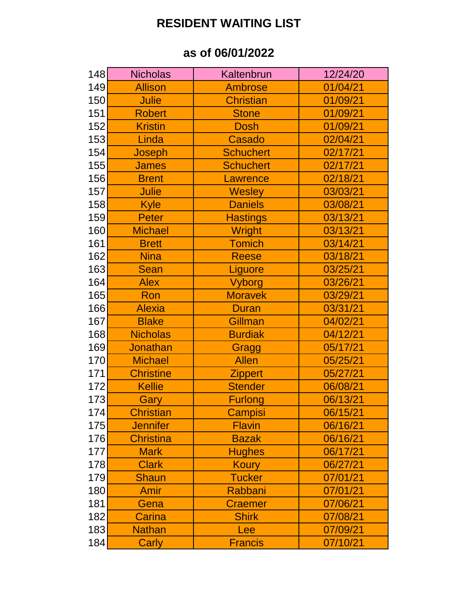| 148 | <b>Nicholas</b>  | Kaltenbrun       | 12/24/20 |
|-----|------------------|------------------|----------|
| 149 | <b>Allison</b>   | <b>Ambrose</b>   | 01/04/21 |
| 150 | <b>Julie</b>     | <b>Christian</b> | 01/09/21 |
| 151 | <b>Robert</b>    | <b>Stone</b>     | 01/09/21 |
| 152 | <b>Kristin</b>   | <b>Dosh</b>      | 01/09/21 |
| 153 | Linda            | Casado           | 02/04/21 |
| 154 | Joseph           | <b>Schuchert</b> | 02/17/21 |
| 155 | <b>James</b>     | <b>Schuchert</b> | 02/17/21 |
| 156 | <b>Brent</b>     | <b>Lawrence</b>  | 02/18/21 |
| 157 | <b>Julie</b>     | <b>Wesley</b>    | 03/03/21 |
| 158 | <b>Kyle</b>      | <b>Daniels</b>   | 03/08/21 |
| 159 | <b>Peter</b>     | <b>Hastings</b>  | 03/13/21 |
| 160 | <b>Michael</b>   | <b>Wright</b>    | 03/13/21 |
| 161 | <b>Brett</b>     | <b>Tomich</b>    | 03/14/21 |
| 162 | <b>Nina</b>      | <b>Reese</b>     | 03/18/21 |
| 163 | <b>Sean</b>      | Liguore          | 03/25/21 |
| 164 | <b>Alex</b>      | <b>Vyborg</b>    | 03/26/21 |
| 165 | Ron              | <b>Moravek</b>   | 03/29/21 |
| 166 | <b>Alexia</b>    | <b>Duran</b>     | 03/31/21 |
| 167 | <b>Blake</b>     | Gillman          | 04/02/21 |
| 168 | <b>Nicholas</b>  | <b>Burdiak</b>   | 04/12/21 |
| 169 | Jonathan         | Gragg            | 05/17/21 |
| 170 | <b>Michael</b>   | <b>Allen</b>     | 05/25/21 |
| 171 | <b>Christine</b> | <b>Zippert</b>   | 05/27/21 |
| 172 | <b>Kellie</b>    | <b>Stender</b>   | 06/08/21 |
| 173 | Gary             | Furlong          | 06/13/21 |
| 174 | <b>Christian</b> | Campisi          | 06/15/21 |
| 175 | <b>Jennifer</b>  | <b>Flavin</b>    | 06/16/21 |
| 176 | <b>Christina</b> | <b>Bazak</b>     | 06/16/21 |
| 177 | <b>Mark</b>      | <b>Hughes</b>    | 06/17/21 |
| 178 | <b>Clark</b>     | <b>Koury</b>     | 06/27/21 |
| 179 | <b>Shaun</b>     | <b>Tucker</b>    | 07/01/21 |
| 180 | <b>Amir</b>      | <b>Rabbani</b>   | 07/01/21 |
| 181 | Gena             | <b>Craemer</b>   | 07/06/21 |
| 182 | Carina           | <b>Shirk</b>     | 07/08/21 |
| 183 | <b>Nathan</b>    | Lee              | 07/09/21 |
| 184 | <b>Carly</b>     | <b>Francis</b>   | 07/10/21 |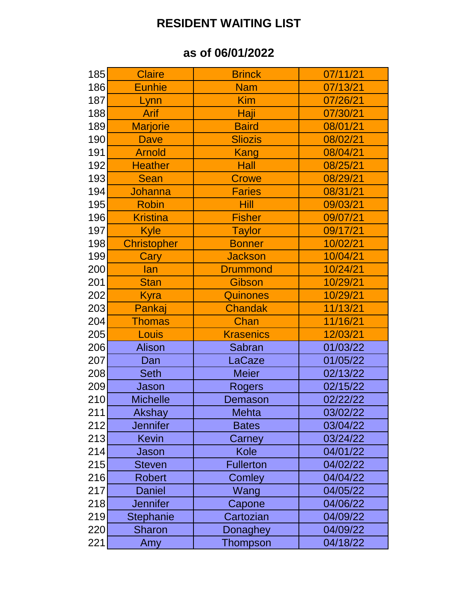| 185 | <b>Claire</b>      | <b>Brinck</b>    | 07/11/21 |
|-----|--------------------|------------------|----------|
| 186 | <b>Eunhie</b>      | <b>Nam</b>       | 07/13/21 |
| 187 | Lynn               | <b>Kim</b>       | 07/26/21 |
| 188 | Arif               | Haji             | 07/30/21 |
| 189 | <b>Marjorie</b>    | <b>Baird</b>     | 08/01/21 |
| 190 | Dave               | <b>Sliozis</b>   | 08/02/21 |
| 191 | <b>Arnold</b>      | <b>Kang</b>      | 08/04/21 |
| 192 | <b>Heather</b>     | Hall             | 08/25/21 |
| 193 | <b>Sean</b>        | <b>Crowe</b>     | 08/29/21 |
| 194 | <b>Johanna</b>     | <b>Faries</b>    | 08/31/21 |
| 195 | <b>Robin</b>       | Hill             | 09/03/21 |
| 196 | <b>Kristina</b>    | <b>Fisher</b>    | 09/07/21 |
| 197 | <b>Kyle</b>        | <b>Taylor</b>    | 09/17/21 |
| 198 | <b>Christopher</b> | <b>Bonner</b>    | 10/02/21 |
| 199 | <b>Cary</b>        | <b>Jackson</b>   | 10/04/21 |
| 200 | <b>lan</b>         | <b>Drummond</b>  | 10/24/21 |
| 201 | <b>Stan</b>        | Gibson           | 10/29/21 |
| 202 | Kyra               | <b>Quinones</b>  | 10/29/21 |
| 203 | Pankaj             | <b>Chandak</b>   | 11/13/21 |
| 204 | <b>Thomas</b>      | Chan             | 11/16/21 |
| 205 | Louis              | <b>Krasenics</b> | 12/03/21 |
| 206 | <b>Alison</b>      | Sabran           | 01/03/22 |
| 207 | Dan                | LaCaze           | 01/05/22 |
| 208 | <b>Seth</b>        | <b>Meier</b>     | 02/13/22 |
| 209 | Jason              | <b>Rogers</b>    | 02/15/22 |
| 210 | <b>Michelle</b>    | Demason          | 02/22/22 |
| 211 | <b>Akshay</b>      | <b>Mehta</b>     | 03/02/22 |
| 212 | <b>Jennifer</b>    | <b>Bates</b>     | 03/04/22 |
| 213 | <b>Kevin</b>       | Carney           | 03/24/22 |
| 214 | Jason              | <b>Kole</b>      | 04/01/22 |
| 215 | <b>Steven</b>      | <b>Fullerton</b> | 04/02/22 |
| 216 | <b>Robert</b>      | Comley           | 04/04/22 |
| 217 | <b>Daniel</b>      | Wang             | 04/05/22 |
| 218 | <b>Jennifer</b>    | Capone           | 04/06/22 |
| 219 | <b>Stephanie</b>   | Cartozian        | 04/09/22 |
| 220 | <b>Sharon</b>      | Donaghey         | 04/09/22 |
| 221 | Amy                | Thompson         | 04/18/22 |